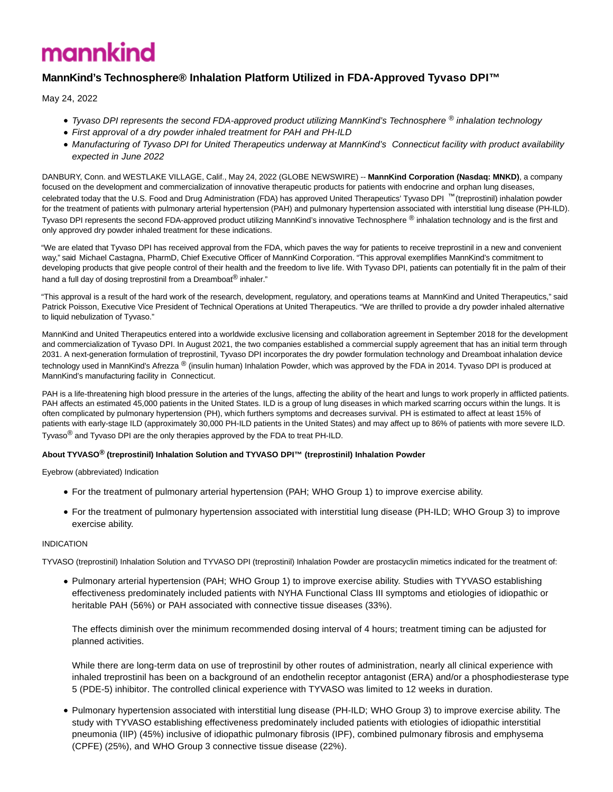# mannkind

# **MannKind's Technosphere® Inhalation Platform Utilized in FDA-Approved Tyvaso DPI™**

May 24, 2022

- Tyvaso DPI represents the second FDA-approved product utilizing MannKind's Technosphere ® inhalation technology
- First approval of a dry powder inhaled treatment for PAH and PH-ILD
- Manufacturing of Tyvaso DPI for United Therapeutics underway at MannKind's Connecticut facility with product availability expected in June 2022

DANBURY, Conn. and WESTLAKE VILLAGE, Calif., May 24, 2022 (GLOBE NEWSWIRE) -- **MannKind Corporation (Nasdaq: MNKD)**, a company focused on the development and commercialization of innovative therapeutic products for patients with endocrine and orphan lung diseases, celebrated today that the U.S. Food and Drug Administration (FDA) has approved United Therapeutics' Tyvaso DPI ™ (treprostinil) inhalation powder for the treatment of patients with pulmonary arterial hypertension (PAH) and pulmonary hypertension associated with interstitial lung disease (PH-ILD). Tyvaso DPI represents the second FDA-approved product utilizing MannKind's innovative Technosphere ® inhalation technology and is the first and only approved dry powder inhaled treatment for these indications.

"We are elated that Tyvaso DPI has received approval from the FDA, which paves the way for patients to receive treprostinil in a new and convenient way," said Michael Castagna, PharmD, Chief Executive Officer of MannKind Corporation. "This approval exemplifies MannKind's commitment to developing products that give people control of their health and the freedom to live life. With Tyvaso DPI, patients can potentially fit in the palm of their hand a full day of dosing treprostinil from a Dreamboat® inhaler."

"This approval is a result of the hard work of the research, development, regulatory, and operations teams at MannKind and United Therapeutics," said Patrick Poisson, Executive Vice President of Technical Operations at United Therapeutics. "We are thrilled to provide a dry powder inhaled alternative to liquid nebulization of Tyvaso."

MannKind and United Therapeutics entered into a worldwide exclusive licensing and collaboration agreement in September 2018 for the development and commercialization of Tyvaso DPI. In August 2021, the two companies established a commercial supply agreement that has an initial term through 2031. A next-generation formulation of treprostinil, Tyvaso DPI incorporates the dry powder formulation technology and Dreamboat inhalation device technology used in MannKind's Afrezza ® (insulin human) Inhalation Powder, which was approved by the FDA in 2014. Tyvaso DPI is produced at MannKind's manufacturing facility in Connecticut.

PAH is a life-threatening high blood pressure in the arteries of the lungs, affecting the ability of the heart and lungs to work properly in afflicted patients. PAH affects an estimated 45,000 patients in the United States. ILD is a group of lung diseases in which marked scarring occurs within the lungs. It is often complicated by pulmonary hypertension (PH), which furthers symptoms and decreases survival. PH is estimated to affect at least 15% of patients with early-stage ILD (approximately 30,000 PH-ILD patients in the United States) and may affect up to 86% of patients with more severe ILD. Tyvaso® and Tyvaso DPI are the only therapies approved by the FDA to treat PH-ILD.

# **About TYVASO® (treprostinil) Inhalation Solution and TYVASO DPI™ (treprostinil) Inhalation Powder**

Eyebrow (abbreviated) Indication

- For the treatment of pulmonary arterial hypertension (PAH; WHO Group 1) to improve exercise ability.
- For the treatment of pulmonary hypertension associated with interstitial lung disease (PH-ILD; WHO Group 3) to improve exercise ability.

# INDICATION

TYVASO (treprostinil) Inhalation Solution and TYVASO DPI (treprostinil) Inhalation Powder are prostacyclin mimetics indicated for the treatment of:

Pulmonary arterial hypertension (PAH; WHO Group 1) to improve exercise ability. Studies with TYVASO establishing effectiveness predominately included patients with NYHA Functional Class III symptoms and etiologies of idiopathic or heritable PAH (56%) or PAH associated with connective tissue diseases (33%).

The effects diminish over the minimum recommended dosing interval of 4 hours; treatment timing can be adjusted for planned activities.

While there are long-term data on use of treprostinil by other routes of administration, nearly all clinical experience with inhaled treprostinil has been on a background of an endothelin receptor antagonist (ERA) and/or a phosphodiesterase type 5 (PDE-5) inhibitor. The controlled clinical experience with TYVASO was limited to 12 weeks in duration.

Pulmonary hypertension associated with interstitial lung disease (PH-ILD; WHO Group 3) to improve exercise ability. The study with TYVASO establishing effectiveness predominately included patients with etiologies of idiopathic interstitial pneumonia (IIP) (45%) inclusive of idiopathic pulmonary fibrosis (IPF), combined pulmonary fibrosis and emphysema (CPFE) (25%), and WHO Group 3 connective tissue disease (22%).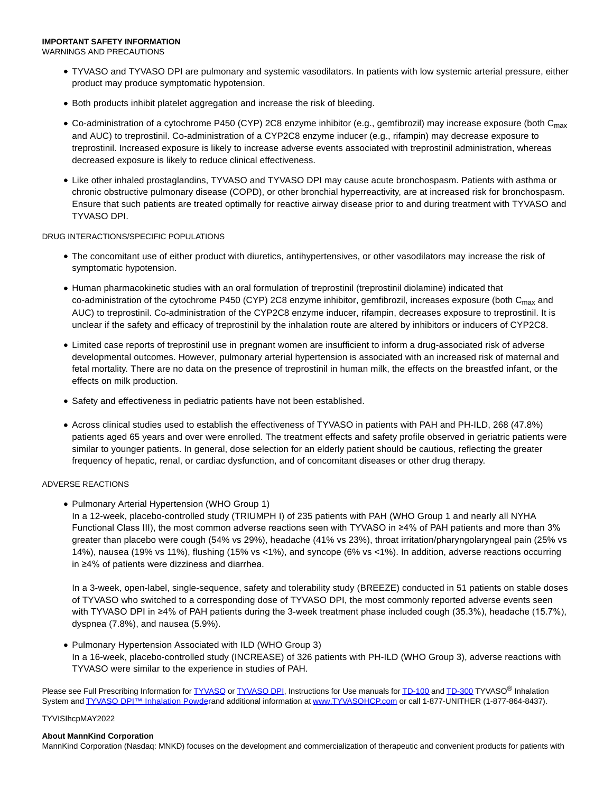# **IMPORTANT SAFETY INFORMATION**

WARNINGS AND PRECAUTIONS

- TYVASO and TYVASO DPI are pulmonary and systemic vasodilators. In patients with low systemic arterial pressure, either product may produce symptomatic hypotension.
- Both products inhibit platelet aggregation and increase the risk of bleeding.
- Co-administration of a cytochrome P450 (CYP) 2C8 enzyme inhibitor (e.g., gemfibrozil) may increase exposure (both  $C_{\text{max}}$ and AUC) to treprostinil. Co-administration of a CYP2C8 enzyme inducer (e.g., rifampin) may decrease exposure to treprostinil. Increased exposure is likely to increase adverse events associated with treprostinil administration, whereas decreased exposure is likely to reduce clinical effectiveness.
- Like other inhaled prostaglandins, TYVASO and TYVASO DPI may cause acute bronchospasm. Patients with asthma or chronic obstructive pulmonary disease (COPD), or other bronchial hyperreactivity, are at increased risk for bronchospasm. Ensure that such patients are treated optimally for reactive airway disease prior to and during treatment with TYVASO and TYVASO DPI.

#### DRUG INTERACTIONS/SPECIFIC POPULATIONS

- The concomitant use of either product with diuretics, antihypertensives, or other vasodilators may increase the risk of symptomatic hypotension.
- Human pharmacokinetic studies with an oral formulation of treprostinil (treprostinil diolamine) indicated that co-administration of the cytochrome P450 (CYP) 2C8 enzyme inhibitor, gemfibrozil, increases exposure (both C<sub>max</sub> and AUC) to treprostinil. Co-administration of the CYP2C8 enzyme inducer, rifampin, decreases exposure to treprostinil. It is unclear if the safety and efficacy of treprostinil by the inhalation route are altered by inhibitors or inducers of CYP2C8.
- Limited case reports of treprostinil use in pregnant women are insufficient to inform a drug-associated risk of adverse developmental outcomes. However, pulmonary arterial hypertension is associated with an increased risk of maternal and fetal mortality. There are no data on the presence of treprostinil in human milk, the effects on the breastfed infant, or the effects on milk production.
- Safety and effectiveness in pediatric patients have not been established.
- Across clinical studies used to establish the effectiveness of TYVASO in patients with PAH and PH-ILD, 268 (47.8%) patients aged 65 years and over were enrolled. The treatment effects and safety profile observed in geriatric patients were similar to younger patients. In general, dose selection for an elderly patient should be cautious, reflecting the greater frequency of hepatic, renal, or cardiac dysfunction, and of concomitant diseases or other drug therapy.

### ADVERSE REACTIONS

• Pulmonary Arterial Hypertension (WHO Group 1)

In a 12-week, placebo-controlled study (TRIUMPH I) of 235 patients with PAH (WHO Group 1 and nearly all NYHA Functional Class III), the most common adverse reactions seen with TYVASO in ≥4% of PAH patients and more than 3% greater than placebo were cough (54% vs 29%), headache (41% vs 23%), throat irritation/pharyngolaryngeal pain (25% vs 14%), nausea (19% vs 11%), flushing (15% vs <1%), and syncope (6% vs <1%). In addition, adverse reactions occurring in ≥4% of patients were dizziness and diarrhea.

In a 3-week, open-label, single-sequence, safety and tolerability study (BREEZE) conducted in 51 patients on stable doses of TYVASO who switched to a corresponding dose of TYVASO DPI, the most commonly reported adverse events seen with TYVASO DPI in ≥4% of PAH patients during the 3-week treatment phase included cough (35.3%), headache (15.7%), dyspnea (7.8%), and nausea (5.9%).

Pulmonary Hypertension Associated with ILD (WHO Group 3) In a 16-week, placebo-controlled study (INCREASE) of 326 patients with PH-ILD (WHO Group 3), adverse reactions with TYVASO were similar to the experience in studies of PAH.

Please see Full Prescribing Information for [TYVASO o](https://www.globenewswire.com/Tracker?data=ruqMtkzcXNDdBTHdTQgcVtP7u2Ru_kSdhnYY04vNObs-SUlAuvFoY2enPqXR-rTo4Odf51okgI0AL1CMrDZZKW4ZnMvEzMQBmh8-YaT56s4=)r [TYVASO DPI,](https://www.globenewswire.com/Tracker?data=ruqMtkzcXNDdBTHdTQgcVucQYxdPAsdgfQboIMO4LaRWvNSx3419QajzZ5sEvBuS4q8dmhflB-AQGtmUqvY1DYwL16Tg16zTGy1slZSe2IQ=) Instructions for Use manuals fo[r TD-100 a](https://www.globenewswire.com/Tracker?data=rnPHULsDNDdcNX_5H4OlmdJk2JTW27l_Ud-_lDAQ_Z3Zy5G2nFtkYbC3EhRuPYP6CLI-Cp0mjwCdRj97JjVn6aOaq6qZ4Gdgz8PM12N9T7jZIXeCR7yhAR_yFBQCj7EY)n[d TD-300 T](https://www.globenewswire.com/Tracker?data=22BYW9IXMhuOrqHeWyUbUhCGEBTnibp8xVGJIauFYSC_pKJ9exTGqC_jUNBUB9S1w1XIkecbegyU7ffrkih93WY3JXNxU6jFkHqrgClIJ4LuC-5of1cY41RiQGX7hDli)YVASO<sup>®</sup> Inhalation System and TYVASO DPI™ Inhalation Powderand additional information at [www.TYVASOHCP.com o](https://www.globenewswire.com/Tracker?data=S48xT1UN4_23n1QVPnUWFM8817DJbhxkt4WU79a5N3gzT79cJ7s6cA7jtnE2q9uZ6BCFvCqPL0in2LlYeOhGjg==)r call 1-877-UNITHER (1-877-864-8437).

#### TYVISIhcpMAY2022

#### **About MannKind Corporation**

MannKind Corporation (Nasdaq: MNKD) focuses on the development and commercialization of therapeutic and convenient products for patients with